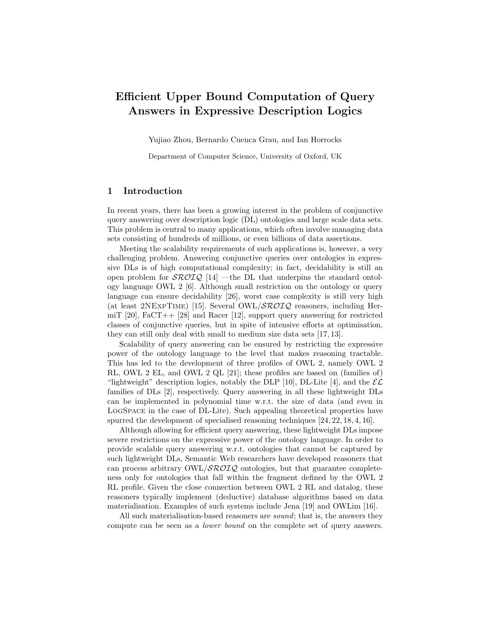# Efficient Upper Bound Computation of Query Answers in Expressive Description Logics

Yujiao Zhou, Bernardo Cuenca Grau, and Ian Horrocks

Department of Computer Science, University of Oxford, UK

## 1 Introduction

In recent years, there has been a growing interest in the problem of conjunctive query answering over description logic (DL) ontologies and large scale data sets. This problem is central to many applications, which often involve managing data sets consisting of hundreds of millions, or even billions of data assertions.

Meeting the scalability requirements of such applications is, however, a very challenging problem. Answering conjunctive queries over ontologies in expressive DLs is of high computational complexity; in fact, decidability is still an open problem for  $\mathcal{SROLQ}$  [14] —the DL that underpins the standard ontology language OWL 2 [6]. Although small restriction on the ontology or query language can ensure decidability [26], worst case complexity is still very high (at least 2NEXPTIME) [15]. Several OWL/ $\mathcal{SROIQ}$  reasoners, including HermiT [20], FaCT++ [28] and Racer [12], support query answering for restricted classes of conjunctive queries, but in spite of intensive efforts at optimisation, they can still only deal with small to medium size data sets [17, 13].

Scalability of query answering can be ensured by restricting the expressive power of the ontology language to the level that makes reasoning tractable. This has led to the development of three profiles of OWL 2, namely OWL 2 RL, OWL 2 EL, and OWL 2 QL [21]; these profiles are based on (families of) "lightweight" description logics, notably the DLP [10], DL-Lite [4], and the  $\mathcal{EL}$ families of DLs [2], respectively. Query answering in all these lightweight DLs can be implemented in polynomial time w.r.t. the size of data (and even in LogSpace in the case of DL-Lite). Such appealing theoretical properties have spurred the development of specialised reasoning techniques [24, 22, 18, 4, 16].

Although allowing for efficient query answering, these lightweight DLs impose severe restrictions on the expressive power of the ontology language. In order to provide scalable query answering w.r.t. ontologies that cannot be captured by such lightweight DLs, Semantic Web researchers have developed reasoners that can process arbitrary  $OWL/$ *SROIQ* ontologies, but that guarantee completeness only for ontologies that fall within the fragment defined by the OWL 2 RL profile. Given the close connection between OWL 2 RL and datalog, these reasoners typically implement (deductive) database algorithms based on data materialisation. Examples of such systems include Jena [19] and OWLim [16].

All such materialisation-based reasoners are *sound*; that is, the answers they compute can be seen as a lower bound on the complete set of query answers.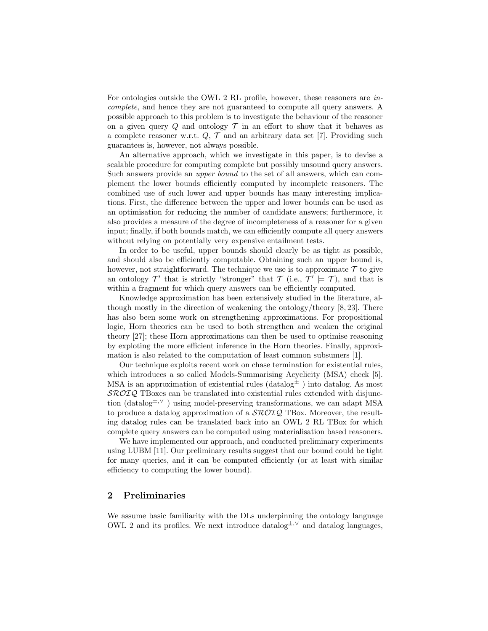For ontologies outside the OWL 2 RL profile, however, these reasoners are incomplete, and hence they are not guaranteed to compute all query answers. A possible approach to this problem is to investigate the behaviour of the reasoner on a given query  $Q$  and ontology  $T$  in an effort to show that it behaves as a complete reasoner w.r.t.  $Q, \mathcal{T}$  and an arbitrary data set [7]. Providing such guarantees is, however, not always possible.

An alternative approach, which we investigate in this paper, is to devise a scalable procedure for computing complete but possibly unsound query answers. Such answers provide an upper bound to the set of all answers, which can complement the lower bounds efficiently computed by incomplete reasoners. The combined use of such lower and upper bounds has many interesting implications. First, the difference between the upper and lower bounds can be used as an optimisation for reducing the number of candidate answers; furthermore, it also provides a measure of the degree of incompleteness of a reasoner for a given input; finally, if both bounds match, we can efficiently compute all query answers without relying on potentially very expensive entailment tests.

In order to be useful, upper bounds should clearly be as tight as possible, and should also be efficiently computable. Obtaining such an upper bound is, however, not straightforward. The technique we use is to approximate  $\mathcal T$  to give an ontology  $\mathcal{T}'$  that is strictly "stronger" that  $\mathcal{T}$  (i.e.,  $\mathcal{T}' \models \mathcal{T}$ ), and that is within a fragment for which query answers can be efficiently computed.

Knowledge approximation has been extensively studied in the literature, although mostly in the direction of weakening the ontology/theory  $[8, 23]$ . There has also been some work on strengthening approximations. For propositional logic, Horn theories can be used to both strengthen and weaken the original theory [27]; these Horn approximations can then be used to optimise reasoning by exploting the more efficient inference in the Horn theories. Finally, approximation is also related to the computation of least common subsumers [1].

Our technique exploits recent work on chase termination for existential rules, which introduces a so called Models-Summarising Acyclicity (MSA) check [5]. MSA is an approximation of existential rules (datalog $\pm$ ) into datalog. As most SROIQ TBoxes can be translated into existential rules extended with disjunction (datalog<sup>±,∨</sup>) using model-preserving transformations, we can adapt MSA to produce a datalog approximation of a  $\mathcal{SROLQ}$  TBox. Moreover, the resulting datalog rules can be translated back into an OWL 2 RL TBox for which complete query answers can be computed using materialisation based reasoners.

We have implemented our approach, and conducted preliminary experiments using LUBM [11]. Our preliminary results suggest that our bound could be tight for many queries, and it can be computed efficiently (or at least with similar efficiency to computing the lower bound).

## 2 Preliminaries

We assume basic familiarity with the DLs underpinning the ontology language OWL 2 and its profiles. We next introduce datalog $\pm$ ,  $\vee$  and datalog languages,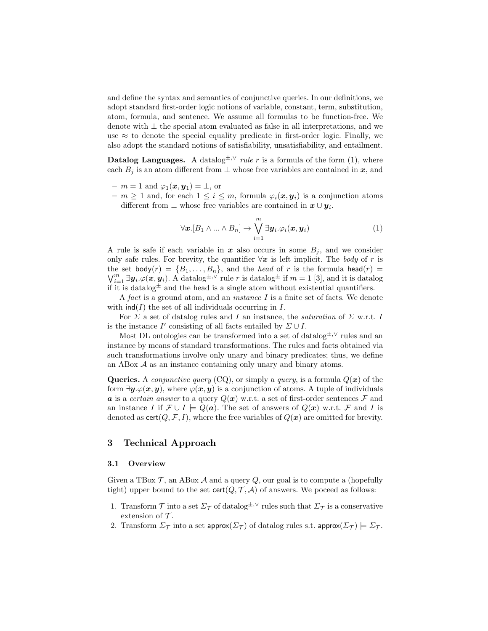and define the syntax and semantics of conjunctive queries. In our definitions, we adopt standard first-order logic notions of variable, constant, term, substitution, atom, formula, and sentence. We assume all formulas to be function-free. We denote with ⊥ the special atom evaluated as false in all interpretations, and we use  $\approx$  to denote the special equality predicate in first-order logic. Finally, we also adopt the standard notions of satisfiability, unsatisfiability, and entailment.

Datalog Languages. A datalog<sup>±,∨</sup> rule r is a formula of the form (1), where each  $B_j$  is an atom different from  $\perp$  whose free variables are contained in  $\mathbf{x}$ , and

 $- m = 1$  and  $\varphi_1(x, y_1) = \perp$ , or

 $- m \geq 1$  and, for each  $1 \leq i \leq m$ , formula  $\varphi_i(x, y_i)$  is a conjunction atoms different from  $\perp$  whose free variables are contained in  $x \cup y_i$ .

$$
\forall \boldsymbol{x}. [B_1 \wedge ... \wedge B_n] \rightarrow \bigvee_{i=1}^m \exists \boldsymbol{y}_i. \varphi_i(\boldsymbol{x}, \boldsymbol{y}_i)
$$
(1)

A rule is safe if each variable in  $x$  also occurs in some  $B_i$ , and we consider only safe rules. For brevity, the quantifier  $\forall x$  is left implicit. The body of r is the set body $(r) = \{B_1, \ldots, B_n\}$ , and the *head* of r is the formula head $(r)$  =  $\bigvee_{i=1}^m \exists y_i \ldotp \varphi(\bm{x},\bm{y}_i)$ . A datalog<sup> $\pm$ ,∨</sup> rule r is datalog<sup> $\pm$ </sup> if  $m=1$  [3], and it is datalog if it is datalog  $\pm$  and the head is a single atom without existential quantifiers.

A fact is a ground atom, and an instance I is a finite set of facts. We denote with  $\text{ind}(I)$  the set of all individuals occurring in I.

For  $\Sigma$  a set of datalog rules and I an instance, the *saturation* of  $\Sigma$  w.r.t. I is the instance  $I'$  consisting of all facts entailed by  $\Sigma \cup I$ .

Most DL ontologies can be transformed into a set of datalog<sup>±,∨</sup> rules and an instance by means of standard transformations. The rules and facts obtained via such transformations involve only unary and binary predicates; thus, we define an ABox  $A$  as an instance containing only unary and binary atoms.

Queries. A *conjunctive query* (CQ), or simply a *query*, is a formula  $Q(x)$  of the form  $\exists y \varphi(x, y)$ , where  $\varphi(x, y)$  is a conjunction of atoms. A tuple of individuals a is a certain answer to a query  $Q(x)$  w.r.t. a set of first-order sentences F and an instance I if  $\mathcal{F} \cup I \models Q(a)$ . The set of answers of  $Q(x)$  w.r.t. F and I is denoted as  $\text{cert}(Q, \mathcal{F}, I)$ , where the free variables of  $Q(x)$  are omitted for brevity.

## 3 Technical Approach

## 3.1 Overview

Given a TBox  $\mathcal{T}$ , an ABox  $\mathcal{A}$  and a query  $Q$ , our goal is to compute a (hopefully tight) upper bound to the set  $\text{cert}(Q, \mathcal{T}, \mathcal{A})$  of answers. We poceed as follows:

- 1. Transform  $\mathcal T$  into a set  $\Sigma_{\mathcal T}$  of datalog<sup> $\pm, \vee$ </sup> rules such that  $\Sigma_{\mathcal T}$  is a conservative extension of  $\mathcal T$ .
- 2. Transform  $\Sigma_{\mathcal{T}}$  into a set approx( $\Sigma_{\mathcal{T}}$ ) of datalog rules s.t. approx( $\Sigma_{\mathcal{T}}$ )  $\models \Sigma_{\mathcal{T}}$ .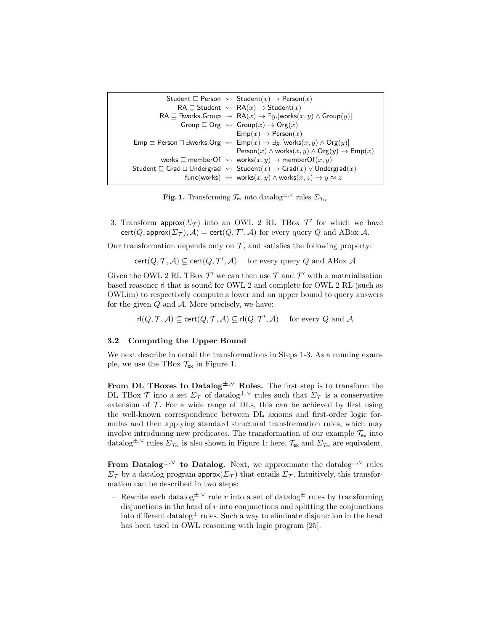```
Student \Box Person \leadsto Student(x) \rightarrow Person(x)RA \sqsubset Student \leadsto RA(x) \rightarrow Student(x)RA \sqsubseteq \existsworks.Group \leadsto RA(x) \rightarrow \exists y.[works(x, y) \land Group(y)]
          Group \sqsubseteq Org \leadsto Group(x) \to \text{Org}(x)\mathsf{Emp}(x) \to \mathsf{Person}(x)Emp \equiv Person \Box ∃works.Org \leadsto Emp(x) \rightarrow \exists y. [works(x, y) \land Org(y)]
                                   Person(x) \wedge works(x, y) \wedge Org(y) \rightarrow Emp(x)works \Box memberOf \leadsto works(x, y) \rightarrow memberOf(x, y)Student \sqsubseteq Grad \sqcup Undergrad \leadsto Student(x) \to Grad(x) \vee Undergrad(x)func(works) \rightsquigarrow works(x, y) \land works(x, z) \rightarrow y \approx z
```
**Fig. 1.** Transforming  $\mathcal{T}_{\mathsf{ex}}$  into datalog<sup>±,∨</sup> rules  $\mathcal{L}_{\mathcal{T}_{\mathsf{ex}}}$ 

3. Transform approx $(\Sigma_{\mathcal{T}})$  into an OWL 2 RL TBox  $\mathcal{T}'$  for which we have  $\text{cert}(Q, \text{approx}(\Sigma_{\mathcal{T}}), \mathcal{A}) = \text{cert}(Q, \mathcal{T}', \mathcal{A})$  for every query  $Q$  and ABox  $\mathcal{A}$ .

Our transformation depends only on  $\mathcal{T}$ , and satisfies the following property:

cert $(Q, \mathcal{T}, \mathcal{A}) \subseteq \text{cert}(Q, \mathcal{T}', \mathcal{A})$  for every query Q and ABox A

Given the OWL 2 RL TBox  $\mathcal{T}'$  we can then use  $\mathcal T$  and  $\mathcal T'$  with a materialisation based reasoner rl that is sound for OWL 2 and complete for OWL 2 RL (such as OWLim) to respectively compute a lower and an upper bound to query answers for the given  $Q$  and  $A$ . More precisely, we have:

 $\mathsf{rl}(Q,\mathcal{T},\mathcal{A})\subseteq \mathsf{cert}(Q,\mathcal{T},\mathcal{A})\subseteq \mathsf{rl}(Q,\mathcal{T}',\mathcal{A})\quad\text{ for every }Q\text{ and }\mathcal{A}$ 

### 3.2 Computing the Upper Bound

We next describe in detail the transformations in Steps 1-3. As a running example, we use the TBox  $\mathcal{T}_{ex}$  in Figure 1.

From DL TBoxes to Datalog<sup> $\pm$ ,∨</sup> Rules. The first step is to transform the DL TBox  $\mathcal T$  into a set  $\Sigma_{\mathcal T}$  of datalog<sup>±,∨</sup> rules such that  $\Sigma_{\mathcal T}$  is a conservative extension of  $\mathcal T$ . For a wide range of DLs, this can be achieved by first using the well-known correspondence between DL axioms and first-order logic formulas and then applying standard structural transformation rules, which may involve introducing new predicates. The transformation of our example  $\mathcal{T}_{ex}$  into datalog<sup>±,∨</sup> rules  $\Sigma_{\mathcal{T}_{ex}}$  is also shown in Figure 1; here,  $\mathcal{T}_{ex}$  and  $\Sigma_{\mathcal{T}_{ex}}$  are equivalent.

From Datalog<sup>±,∨</sup> to Datalog. Next, we approximate the datalog<sup>±,∨</sup> rules  $\Sigma_{\mathcal{T}}$  by a datalog program approx( $\Sigma_{\mathcal{T}}$ ) that entails  $\Sigma_{\mathcal{T}}$ . Intuitively, this transformation can be described in two steps:

– Rewrite each datalog<sup>±,∨</sup> rule r into a set of datalog<sup>±</sup> rules by transforming disjunctions in the head of  $r$  into conjunctions and splitting the conjunctions into different datalog  $\pm$  rules. Such a way to eliminate disjunction in the head has been used in OWL reasoning with logic program [25].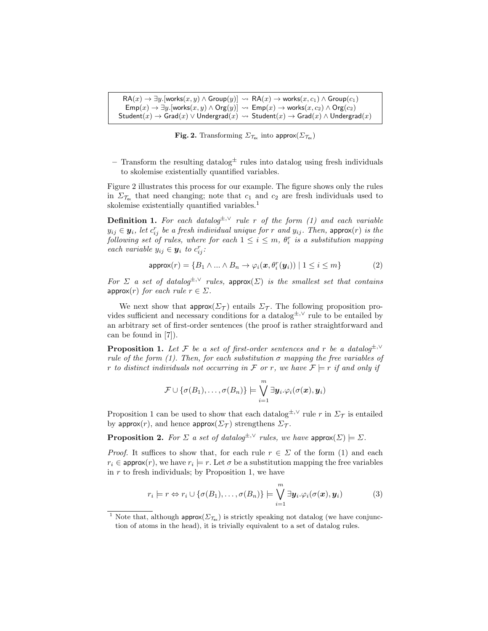$\mathsf{RA}(x) \to \exists y.$ [works $(x, y) \wedge \mathsf{Group}(y) \sim \mathsf{RA}(x) \to \mathsf{works}(x, c_1) \wedge \mathsf{Group}(c_1)$  $\mathsf{Emp}(x) \to \exists y.$ [works $(x, y) \land \mathsf{Org}(y)$ ]  $\leadsto \mathsf{Emp}(x) \to \mathsf{works}(x, c_2) \land \mathsf{Org}(c_2)$  $Student(x) \rightarrow Grad(x) \vee Undergrad(x) \rightsquigarrow Student(x) \rightarrow Grad(x) \wedge Undergrad(x)$ 

Fig. 2. Transforming  $\Sigma_{\mathcal{T}_{ex}}$  into approx $(\Sigma_{\mathcal{T}_{ex}})$ 

– Transform the resulting datalog $\pm$  rules into datalog using fresh individuals to skolemise existentially quantified variables.

Figure 2 illustrates this process for our example. The figure shows only the rules in  $\Sigma_{\mathcal{T}_{ex}}$  that need changing; note that  $c_1$  and  $c_2$  are fresh individuals used to skolemise existentially quantified variables.<sup>1</sup>

**Definition 1.** For each datalog<sup> $\pm$ , $\vee$ </sup> rule r of the form (1) and each variable  $y_{ij} \in \mathbf{y}_i$ , let  $c_{ij}^r$  be a fresh individual unique for r and  $y_{ij}$ . Then, approx $(r)$  is the following set of rules, where for each  $1 \leq i \leq m$ ,  $\theta_i^r$  is a substitution mapping each variable  $y_{ij} \in \mathbf{y}_i$  to  $c_{ij}^r$ :

$$
\text{approx}(r) = \{B_1 \land \dots \land B_n \to \varphi_i(\mathbf{x}, \theta_i^r(\mathbf{y}_i)) \mid 1 \le i \le m\} \tag{2}
$$

For  $\Sigma$  a set of datalog<sup> $\pm$ , $\vee$ </sup> rules, approx( $\Sigma$ ) is the smallest set that contains approx(r) for each rule  $r \in \Sigma$ .

We next show that  $\text{approx}(\Sigma_{\mathcal{T}})$  entails  $\Sigma_{\mathcal{T}}$ . The following proposition provides sufficient and necessary conditions for a datalog<sup> $±,∨$ </sup> rule to be entailed by an arbitrary set of first-order sentences (the proof is rather straightforward and can be found in [7]).

**Proposition 1.** Let F be a set of first-order sentences and r be a datalog<sup> $±,∨$ </sup> rule of the form (1). Then, for each substitution  $\sigma$  mapping the free variables of r to distinct individuals not occurring in F or r, we have  $\mathcal{F} \models r$  if and only if

$$
\mathcal{F} \cup {\sigma(B_1), \ldots, \sigma(B_n)} \models \bigvee_{i=1}^m \exists \mathbf{y}_i . \varphi_i(\sigma(\mathbf{x}), \mathbf{y}_i)
$$

Proposition 1 can be used to show that each datalog<sup> $\pm$ ,∨</sup> rule r in  $\Sigma_{\mathcal{T}}$  is entailed by approx(r), and hence approx( $\Sigma_{\mathcal{T}}$ ) strengthens  $\Sigma_{\mathcal{T}}$ .

**Proposition 2.** For  $\Sigma$  a set of datalog<sup> $\pm, \vee$ </sup> rules, we have approx( $\Sigma$ )  $\models \Sigma$ .

*Proof.* It suffices to show that, for each rule  $r \in \Sigma$  of the form (1) and each  $r_i \in \text{approx}(r)$ , we have  $r_i \models r$ . Let  $\sigma$  be a substitution mapping the free variables in  $r$  to fresh individuals; by Proposition 1, we have

$$
r_i \models r \Leftrightarrow r_i \cup \{\sigma(B_1), \ldots, \sigma(B_n)\} \models \bigvee_{i=1}^m \exists \mathbf{y}_i . \varphi_i(\sigma(\mathbf{x}), \mathbf{y}_i)
$$
(3)

<sup>&</sup>lt;sup>1</sup> Note that, although **approx** $(\Sigma_{\tau_{\text{ex}}})$  is strictly speaking not datalog (we have conjunction of atoms in the head), it is trivially equivalent to a set of datalog rules.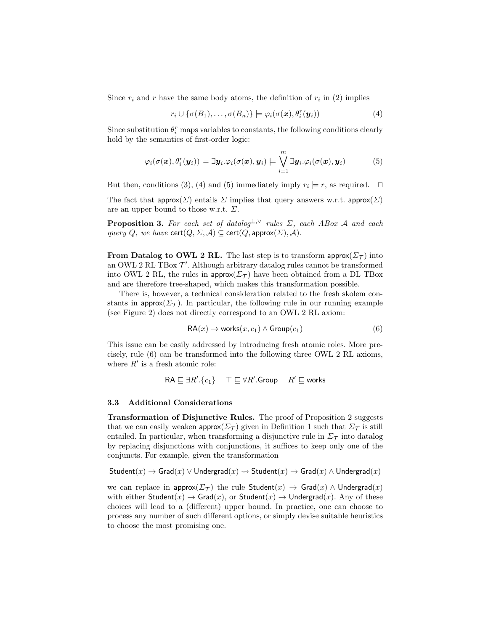Since  $r_i$  and r have the same body atoms, the definition of  $r_i$  in (2) implies

$$
r_i \cup \{\sigma(B_1), \ldots, \sigma(B_n)\} \models \varphi_i(\sigma(\boldsymbol{x}), \theta_i^r(\boldsymbol{y}_i))
$$
\n<sup>(4)</sup>

Since substitution  $\theta_i^r$  maps variables to constants, the following conditions clearly hold by the semantics of first-order logic:

$$
\varphi_i(\sigma(\boldsymbol{x}), \theta_i^r(\boldsymbol{y}_i)) \models \exists \boldsymbol{y}_i. \varphi_i(\sigma(\boldsymbol{x}), \boldsymbol{y}_i) \models \bigvee_{i=1}^m \exists \boldsymbol{y}_i. \varphi_i(\sigma(\boldsymbol{x}), \boldsymbol{y}_i) \tag{5}
$$

But then, conditions (3), (4) and (5) immediately imply  $r_i \models r$ , as required.  $\Box$ 

The fact that  $\text{approx}(\Sigma)$  entails  $\Sigma$  implies that query answers w.r.t.  $\text{approx}(\Sigma)$ are an upper bound to those w.r.t.  $\Sigma$ .

**Proposition 3.** For each set of datalog<sup> $\pm, \vee$ </sup> rules  $\Sigma$ , each ABox A and each query Q, we have  $\text{cert}(Q, \Sigma, \mathcal{A}) \subseteq \text{cert}(Q, \text{approx}(\Sigma), \mathcal{A}).$ 

**From Datalog to OWL 2 RL.** The last step is to transform approx $(\Sigma_{\tau})$  into an OWL 2 RL TBox  $\mathcal{T}'$ . Although arbitrary datalog rules cannot be transformed into OWL 2 RL, the rules in approx( $\Sigma_{\mathcal{T}}$ ) have been obtained from a DL TBox and are therefore tree-shaped, which makes this transformation possible.

There is, however, a technical consideration related to the fresh skolem constants in approx( $\Sigma$ T). In particular, the following rule in our running example (see Figure 2) does not directly correspond to an OWL 2 RL axiom:

$$
RA(x) \to \text{works}(x, c_1) \land \text{Group}(c_1) \tag{6}
$$

This issue can be easily addressed by introducing fresh atomic roles. More precisely, rule (6) can be transformed into the following three OWL 2 RL axioms, where  $R'$  is a fresh atomic role:

$$
\mathsf{RA} \sqsubseteq \exists R'.\{c_1\} \quad \top \sqsubseteq \forall R'.\mathsf{Group} \quad R' \sqsubseteq \mathsf{works}
$$

#### 3.3 Additional Considerations

Transformation of Disjunctive Rules. The proof of Proposition 2 suggests that we can easily weaken approx( $\Sigma_{\mathcal{T}}$ ) given in Definition 1 such that  $\Sigma_{\mathcal{T}}$  is still entailed. In particular, when transforming a disjunctive rule in  $\Sigma_{\mathcal{T}}$  into datalog by replacing disjunctions with conjunctions, it suffices to keep only one of the conjuncts. For example, given the transformation

$$
\mathsf{Student}(x) \to \mathsf{Grad}(x) \lor \mathsf{Undergrad}(x) \rightsquigarrow \mathsf{Student}(x) \to \mathsf{Grad}(x) \land \mathsf{Undergrad}(x)
$$

we can replace in approx( $\Sigma_{\mathcal{T}}$ ) the rule Student(x)  $\rightarrow$  Grad(x)  $\wedge$  Undergrad(x) with either Student(x)  $\rightarrow$  Grad(x), or Student(x)  $\rightarrow$  Undergrad(x). Any of these choices will lead to a (different) upper bound. In practice, one can choose to process any number of such different options, or simply devise suitable heuristics to choose the most promising one.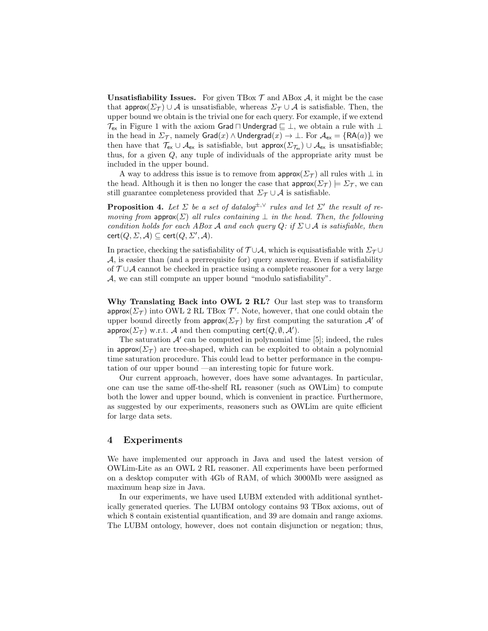**Unsatisfiability Issues.** For given TBox  $\mathcal{T}$  and ABox  $\mathcal{A}$ , it might be the case that approx( $\Sigma_{\mathcal{T}}$ )  $\cup$  A is unsatisfiable, whereas  $\Sigma_{\mathcal{T}} \cup$  A is satisfiable. Then, the upper bound we obtain is the trivial one for each query. For example, if we extend  $\mathcal{T}_{ex}$  in Figure 1 with the axiom Grad  $\Box$  Undergrad  $\sqsubseteq \bot$ , we obtain a rule with  $\bot$ in the head in  $\Sigma_{\mathcal{T}}$ , namely  $\textsf{Grad}(x) \wedge \textsf{Undergrad}(x) \rightarrow \bot$ . For  $\mathcal{A}_{\textsf{ex}} = \{\textsf{RA}(a)\}\$ we then have that  $\mathcal{T}_{ex} \cup \mathcal{A}_{ex}$  is satisfiable, but approx $(\Sigma_{\mathcal{T}_{ex}}) \cup \mathcal{A}_{ex}$  is unsatisfiable; thus, for a given Q, any tuple of individuals of the appropriate arity must be included in the upper bound.

A way to address this issue is to remove from approx( $\Sigma_{\mathcal{T}}$ ) all rules with  $\perp$  in the head. Although it is then no longer the case that  $\text{approx}(\Sigma_\mathcal{T}) \models \Sigma_\mathcal{T}$ , we can still guarantee completeness provided that  $\Sigma_{\mathcal{T}} \cup \mathcal{A}$  is satisfiable.

**Proposition 4.** Let  $\Sigma$  be a set of datalog<sup> $\pm, \vee$ </sup> rules and let  $\Sigma'$  the result of removing from approx( $\Sigma$ ) all rules containing  $\perp$  in the head. Then, the following condition holds for each ABox A and each query  $Q:$  if  $\Sigma \cup A$  is satisfiable, then  $\text{cert}(Q, \Sigma, \mathcal{A}) \subseteq \text{cert}(Q, \Sigma', \mathcal{A}).$ 

In practice, checking the satisfiability of  $\mathcal{T} \cup \mathcal{A}$ , which is equisatisfiable with  $\Sigma_{\mathcal{T}} \cup$  $A$ , is easier than (and a prerrequisite for) query answering. Even if satisfiability of  $T \cup A$  cannot be checked in practice using a complete reasoner for a very large A, we can still compute an upper bound "modulo satisfiability".

Why Translating Back into OWL 2 RL? Our last step was to transform  $\mathsf{approx}(\Sigma_{\mathcal{T}})$  into OWL 2 RL TBox  $\mathcal{T}'$ . Note, however, that one could obtain the upper bound directly from approx( $\Sigma_{\mathcal{T}}$ ) by first computing the saturation  $\mathcal{A}'$  of approx $(\Sigma_{\mathcal{T}})$  w.r.t.  $\mathcal A$  and then computing  $\textsf{cert}(Q, \emptyset, \mathcal A').$ 

The saturation  $\mathcal{A}'$  can be computed in polynomial time [5]; indeed, the rules in approx( $\Sigma_{\mathcal{T}}$ ) are tree-shaped, which can be exploited to obtain a polynomial time saturation procedure. This could lead to better performance in the computation of our upper bound —an interesting topic for future work.

Our current approach, however, does have some advantages. In particular, one can use the same off-the-shelf RL reasoner (such as OWLim) to compute both the lower and upper bound, which is convenient in practice. Furthermore, as suggested by our experiments, reasoners such as OWLim are quite efficient for large data sets.

## 4 Experiments

We have implemented our approach in Java and used the latest version of OWLim-Lite as an OWL 2 RL reasoner. All experiments have been performed on a desktop computer with 4Gb of RAM, of which 3000Mb were assigned as maximum heap size in Java.

In our experiments, we have used LUBM extended with additional synthetically generated queries. The LUBM ontology contains 93 TBox axioms, out of which 8 contain existential quantification, and 39 are domain and range axioms. The LUBM ontology, however, does not contain disjunction or negation; thus,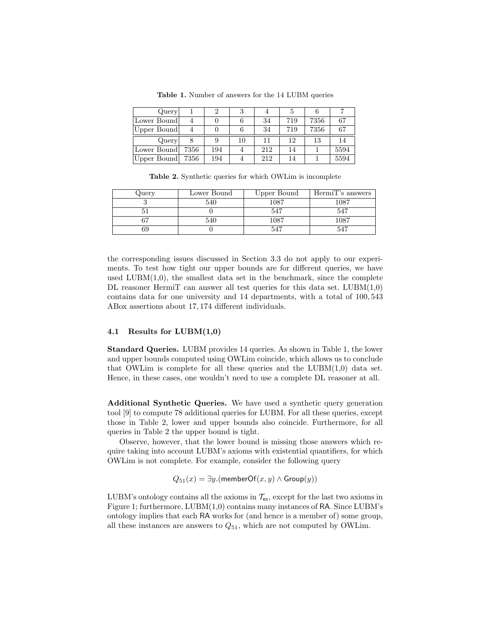| Query <sup>1</sup> |      | 2   |    |     |     |      |      |
|--------------------|------|-----|----|-----|-----|------|------|
| Lower Bound        |      |     |    | 34  | 719 | 7356 | 67   |
| Upper Bound        |      |     |    | 34  | 719 | 7356 | 67   |
| Query <sup>1</sup> |      |     | 10 | 11  | 12  | 13   | 14   |
| Lower Bound        | 7356 | 194 |    | 212 | 14  |      | 5594 |
| Upper Bound        | 7356 | 194 |    | 212 | 14  |      | 5594 |

Table 1. Number of answers for the 14 LUBM queries

Table 2. Synthetic queries for which OWLim is incomplete

| $\lambda$ uery | Lower Bound | Upper Bound | HermiT's answers |
|----------------|-------------|-------------|------------------|
|                | 540         | 1087        | 1087             |
|                |             | 547         | 547              |
|                | 540         | 1087        | 1087             |
|                |             |             |                  |

the corresponding issues discussed in Section 3.3 do not apply to our experiments. To test how tight our upper bounds are for different queries, we have used  $LUBM(1,0)$ , the smallest data set in the benchmark, since the complete DL reasoner HermiT can answer all test queries for this data set.  $LUBM(1,0)$ contains data for one university and 14 departments, with a total of 100, 543 ABox assertions about 17, 174 different individuals.

#### 4.1 Results for LUBM(1,0)

Standard Queries. LUBM provides 14 queries. As shown in Table 1, the lower and upper bounds computed using OWLim coincide, which allows us to conclude that OWLim is complete for all these queries and the  $LUBM(1,0)$  data set. Hence, in these cases, one wouldn't need to use a complete DL reasoner at all.

Additional Synthetic Queries. We have used a synthetic query generation tool [9] to compute 78 additional queries for LUBM. For all these queries, except those in Table 2, lower and upper bounds also coincide. Furthermore, for all queries in Table 2 the upper bound is tight.

Observe, however, that the lower bound is missing those answers which require taking into account LUBM's axioms with existential quantifiers, for which OWLim is not complete. For example, consider the following query

 $Q_{51}(x) = \exists y.$ (memberOf $(x, y) \wedge$  Group $(y)$ )

LUBM's ontology contains all the axioms in  $\mathcal{T}_{ex}$ , except for the last two axioms in Figure 1; furthermore,  $LUBM(1,0)$  contains many instances of RA. Since  $LUBM$ 's ontology implies that each RA works for (and hence is a member of) some group, all these instances are answers to  $Q_{51}$ , which are not computed by OWLim.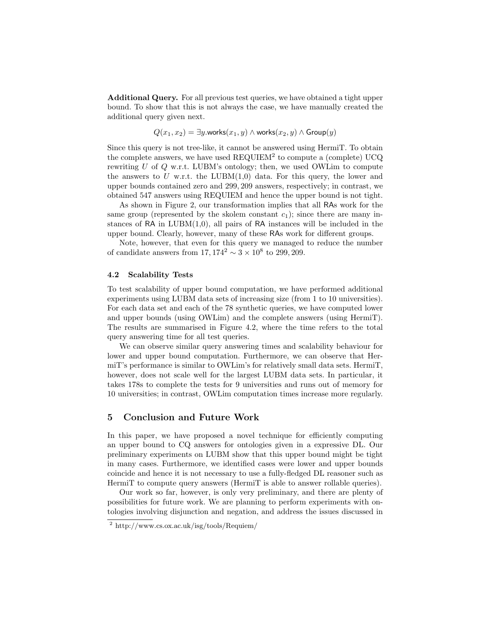Additional Query. For all previous test queries, we have obtained a tight upper bound. To show that this is not always the case, we have manually created the additional query given next.

$$
Q(x_1, x_2) = \exists y.\text{works}(x_1, y) \land \text{works}(x_2, y) \land \text{Group}(y)
$$

Since this query is not tree-like, it cannot be answered using HermiT. To obtain the complete answers, we have used  $REQUIEM<sup>2</sup>$  to compute a (complete) UCQ rewriting  $U$  of  $Q$  w.r.t. LUBM's ontology; then, we used OWLim to compute the answers to U w.r.t. the LUBM $(1,0)$  data. For this query, the lower and upper bounds contained zero and 299, 209 answers, respectively; in contrast, we obtained 547 answers using REQUIEM and hence the upper bound is not tight.

As shown in Figure 2, our transformation implies that all RAs work for the same group (represented by the skolem constant  $c_1$ ); since there are many instances of RA in  $LUBM(1,0)$ , all pairs of RA instances will be included in the upper bound. Clearly, however, many of these RAs work for different groups.

Note, however, that even for this query we managed to reduce the number of candidate answers from  $17,174^2 \sim 3 \times 10^8$  to 299, 209.

#### 4.2 Scalability Tests

To test scalability of upper bound computation, we have performed additional experiments using LUBM data sets of increasing size (from 1 to 10 universities). For each data set and each of the 78 synthetic queries, we have computed lower and upper bounds (using OWLim) and the complete answers (using HermiT). The results are summarised in Figure 4.2, where the time refers to the total query answering time for all test queries.

We can observe similar query answering times and scalability behaviour for lower and upper bound computation. Furthermore, we can observe that HermiT's performance is similar to OWLim's for relatively small data sets. HermiT, however, does not scale well for the largest LUBM data sets. In particular, it takes 178s to complete the tests for 9 universities and runs out of memory for 10 universities; in contrast, OWLim computation times increase more regularly.

## 5 Conclusion and Future Work

In this paper, we have proposed a novel technique for efficiently computing an upper bound to CQ answers for ontologies given in a expressive DL. Our preliminary experiments on LUBM show that this upper bound might be tight in many cases. Furthermore, we identified cases were lower and upper bounds coincide and hence it is not necessary to use a fully-fledged DL reasoner such as HermiT to compute query answers (HermiT is able to answer rollable queries).

Our work so far, however, is only very preliminary, and there are plenty of possibilities for future work. We are planning to perform experiments with ontologies involving disjunction and negation, and address the issues discussed in

<sup>2</sup> http://www.cs.ox.ac.uk/isg/tools/Requiem/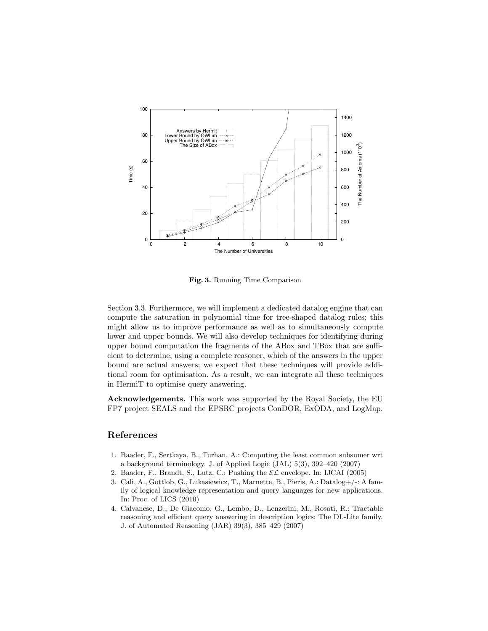

Fig. 3. Running Time Comparison

Section 3.3. Furthermore, we will implement a dedicated datalog engine that can compute the saturation in polynomial time for tree-shaped datalog rules; this might allow us to improve performance as well as to simultaneously compute lower and upper bounds. We will also develop techniques for identifying during upper bound computation the fragments of the ABox and TBox that are sufficient to determine, using a complete reasoner, which of the answers in the upper bound are actual answers; we expect that these techniques will provide additional room for optimisation. As a result, we can integrate all these techniques in HermiT to optimise query answering.

Acknowledgements. This work was supported by the Royal Society, the EU FP7 project SEALS and the EPSRC projects ConDOR, ExODA, and LogMap.

## References

- 1. Baader, F., Sertkaya, B., Turhan, A.: Computing the least common subsumer wrt a background terminology. J. of Applied Logic (JAL) 5(3), 392–420 (2007)
- 2. Baader, F., Brandt, S., Lutz, C.: Pushing the  $\mathcal{EL}$  envelope. In: IJCAI (2005)
- 3. Cali, A., Gottlob, G., Lukasiewicz, T., Marnette, B., Pieris, A.: Datalog+/-: A family of logical knowledge representation and query languages for new applications. In: Proc. of LICS (2010)
- 4. Calvanese, D., De Giacomo, G., Lembo, D., Lenzerini, M., Rosati, R.: Tractable reasoning and efficient query answering in description logics: The DL-Lite family. J. of Automated Reasoning (JAR) 39(3), 385–429 (2007)